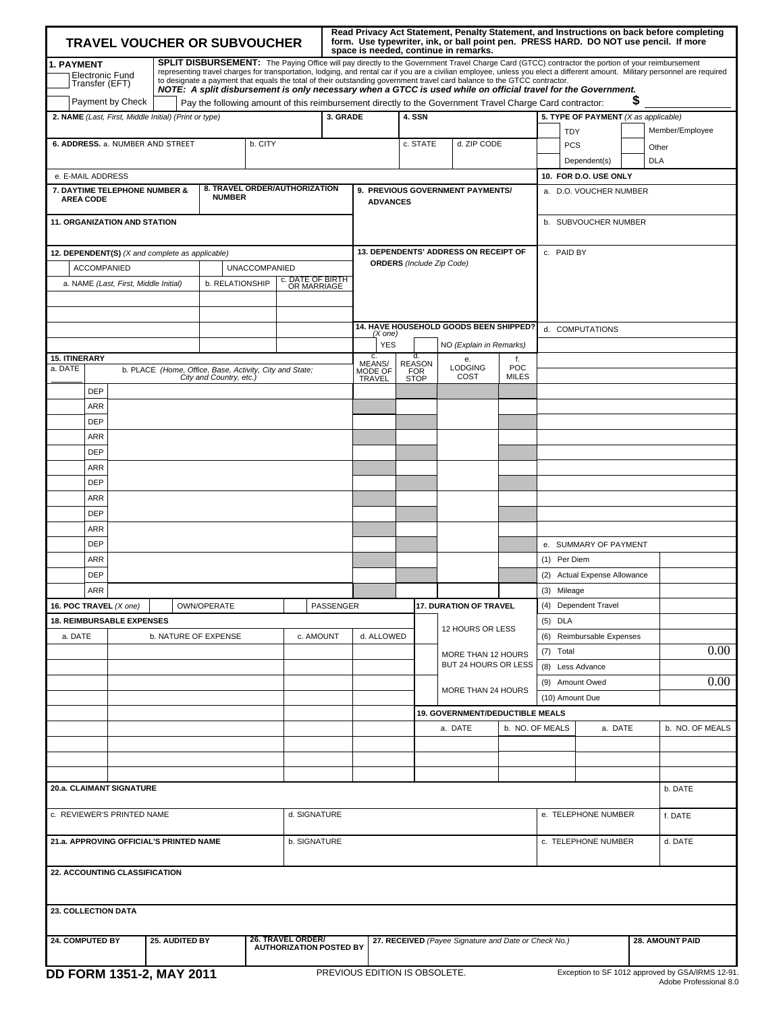| <b>TRAVEL VOUCHER OR SUBVOUCHER</b>                                                                                                                                                                                                                                                                                                                                                                                                                                                                                                                                                                                              |                    |                                  |                                                         |                         |                                                     |                                 |           |                                                                           | Read Privacy Act Statement, Penalty Statement, and Instructions on back before completing<br>form. Use typewriter, ink, or ball point pen. PRESS HARD. DO NOT use pencil. If more<br>space is needed, continue in remarks. |                         |                                        |                                      |                 |                                 |  |                 |
|----------------------------------------------------------------------------------------------------------------------------------------------------------------------------------------------------------------------------------------------------------------------------------------------------------------------------------------------------------------------------------------------------------------------------------------------------------------------------------------------------------------------------------------------------------------------------------------------------------------------------------|--------------------|----------------------------------|---------------------------------------------------------|-------------------------|-----------------------------------------------------|---------------------------------|-----------|---------------------------------------------------------------------------|----------------------------------------------------------------------------------------------------------------------------------------------------------------------------------------------------------------------------|-------------------------|----------------------------------------|--------------------------------------|-----------------|---------------------------------|--|-----------------|
| SPLIT DISBURSEMENT: The Paying Office will pay directly to the Government Travel Charge Card (GTCC) contractor the portion of your reimbursement<br>1. PAYMENT<br>representing travel charges for transportation, lodging, and rental car if you are a civilian employee, unless you elect a different amount. Military personnel are required<br>Electronic Fund<br>Transfer (EFT)<br>to designate a payment that equals the total of their outstanding government travel card balance to the GTCC contractor.<br>NOTE: A split disbursement is only necessary when a GTCC is used while on official travel for the Government. |                    |                                  |                                                         |                         |                                                     |                                 |           |                                                                           |                                                                                                                                                                                                                            |                         |                                        |                                      |                 |                                 |  |                 |
| S<br>Payment by Check<br>Pay the following amount of this reimbursement directly to the Government Travel Charge Card contractor:                                                                                                                                                                                                                                                                                                                                                                                                                                                                                                |                    |                                  |                                                         |                         |                                                     |                                 |           |                                                                           |                                                                                                                                                                                                                            |                         |                                        |                                      |                 |                                 |  |                 |
| 2. NAME (Last, First, Middle Initial) (Print or type)<br>3. GRADE                                                                                                                                                                                                                                                                                                                                                                                                                                                                                                                                                                |                    |                                  |                                                         |                         |                                                     |                                 |           | 4. SSN                                                                    |                                                                                                                                                                                                                            |                         |                                        | 5. TYPE OF PAYMENT (X as applicable) |                 |                                 |  |                 |
|                                                                                                                                                                                                                                                                                                                                                                                                                                                                                                                                                                                                                                  |                    |                                  |                                                         |                         |                                                     |                                 |           |                                                                           |                                                                                                                                                                                                                            |                         |                                        |                                      |                 | <b>TDY</b>                      |  | Member/Employee |
|                                                                                                                                                                                                                                                                                                                                                                                                                                                                                                                                                                                                                                  |                    |                                  | 6. ADDRESS. a. NUMBER AND STREET                        |                         | b. CITY                                             |                                 |           |                                                                           | c. STATE                                                                                                                                                                                                                   |                         | d. ZIP CODE                            |                                      |                 | <b>PCS</b>                      |  | Other           |
|                                                                                                                                                                                                                                                                                                                                                                                                                                                                                                                                                                                                                                  |                    |                                  |                                                         |                         |                                                     |                                 |           |                                                                           |                                                                                                                                                                                                                            |                         |                                        |                                      |                 | Dependent(s)                    |  | <b>DLA</b>      |
|                                                                                                                                                                                                                                                                                                                                                                                                                                                                                                                                                                                                                                  |                    |                                  |                                                         |                         |                                                     |                                 |           |                                                                           |                                                                                                                                                                                                                            |                         |                                        |                                      |                 | 10. FOR D.O. USE ONLY           |  |                 |
| e. E-MAIL ADDRESS<br>8. TRAVEL ORDER/AUTHORIZATION<br>7. DAYTIME TELEPHONE NUMBER &<br><b>NUMBER</b><br><b>AREA CODE</b><br><b>11. ORGANIZATION AND STATION</b>                                                                                                                                                                                                                                                                                                                                                                                                                                                                  |                    |                                  |                                                         |                         | 9. PREVIOUS GOVERNMENT PAYMENTS/<br><b>ADVANCES</b> |                                 |           |                                                                           | a. D.O. VOUCHER NUMBER<br>b. SUBVOUCHER NUMBER                                                                                                                                                                             |                         |                                        |                                      |                 |                                 |  |                 |
|                                                                                                                                                                                                                                                                                                                                                                                                                                                                                                                                                                                                                                  |                    |                                  |                                                         |                         |                                                     |                                 |           |                                                                           |                                                                                                                                                                                                                            |                         |                                        |                                      | c. PAID BY      |                                 |  |                 |
|                                                                                                                                                                                                                                                                                                                                                                                                                                                                                                                                                                                                                                  |                    |                                  | 12. DEPENDENT(S) (X and complete as applicable)         |                         |                                                     |                                 |           | 13. DEPENDENTS' ADDRESS ON RECEIPT OF<br><b>ORDERS</b> (Include Zip Code) |                                                                                                                                                                                                                            |                         |                                        |                                      |                 |                                 |  |                 |
|                                                                                                                                                                                                                                                                                                                                                                                                                                                                                                                                                                                                                                  | <b>ACCOMPANIED</b> |                                  |                                                         |                         | <b>UNACCOMPANIED</b>                                |                                 |           |                                                                           |                                                                                                                                                                                                                            |                         |                                        |                                      |                 |                                 |  |                 |
|                                                                                                                                                                                                                                                                                                                                                                                                                                                                                                                                                                                                                                  |                    |                                  | a. NAME (Last, First, Middle Initial)                   | b. RELATIONSHIP         |                                                     | c. DATE OF BIRTH<br>OR MARRIAGE |           |                                                                           |                                                                                                                                                                                                                            |                         |                                        |                                      |                 |                                 |  |                 |
|                                                                                                                                                                                                                                                                                                                                                                                                                                                                                                                                                                                                                                  |                    |                                  |                                                         |                         |                                                     |                                 |           |                                                                           |                                                                                                                                                                                                                            |                         |                                        |                                      |                 |                                 |  |                 |
|                                                                                                                                                                                                                                                                                                                                                                                                                                                                                                                                                                                                                                  |                    |                                  |                                                         |                         |                                                     |                                 |           |                                                                           |                                                                                                                                                                                                                            |                         |                                        |                                      |                 |                                 |  |                 |
|                                                                                                                                                                                                                                                                                                                                                                                                                                                                                                                                                                                                                                  |                    |                                  |                                                         |                         |                                                     |                                 |           |                                                                           |                                                                                                                                                                                                                            |                         | 14. HAVE HOUSEHOLD GOODS BEEN SHIPPED? |                                      |                 | d. COMPUTATIONS                 |  |                 |
|                                                                                                                                                                                                                                                                                                                                                                                                                                                                                                                                                                                                                                  |                    |                                  |                                                         |                         |                                                     |                                 |           | (X one)<br><b>YES</b>                                                     |                                                                                                                                                                                                                            | NO (Explain in Remarks) |                                        |                                      |                 |                                 |  |                 |
| <b>15. ITINERARY</b>                                                                                                                                                                                                                                                                                                                                                                                                                                                                                                                                                                                                             |                    |                                  |                                                         |                         |                                                     |                                 |           | c.                                                                        | ď.                                                                                                                                                                                                                         |                         | e.                                     | f.                                   |                 |                                 |  |                 |
| a. DATE                                                                                                                                                                                                                                                                                                                                                                                                                                                                                                                                                                                                                          |                    |                                  | b. PLACE (Home, Office, Base, Activity, City and State; | City and Country, etc.) |                                                     |                                 |           | MEANS/<br>MODE OF<br><b>TRAVEL</b>                                        | <b>REASON</b><br><b>FOR</b><br><b>STOP</b>                                                                                                                                                                                 |                         | <b>LODGING</b><br>COST                 | POC<br><b>MILES</b>                  |                 |                                 |  |                 |
|                                                                                                                                                                                                                                                                                                                                                                                                                                                                                                                                                                                                                                  | <b>DEP</b>         |                                  |                                                         |                         |                                                     |                                 |           |                                                                           |                                                                                                                                                                                                                            |                         |                                        |                                      |                 |                                 |  |                 |
|                                                                                                                                                                                                                                                                                                                                                                                                                                                                                                                                                                                                                                  | ARR                |                                  |                                                         |                         |                                                     |                                 |           |                                                                           |                                                                                                                                                                                                                            |                         |                                        |                                      |                 |                                 |  |                 |
|                                                                                                                                                                                                                                                                                                                                                                                                                                                                                                                                                                                                                                  | <b>DEP</b>         |                                  |                                                         |                         |                                                     |                                 |           |                                                                           |                                                                                                                                                                                                                            |                         |                                        |                                      |                 |                                 |  |                 |
|                                                                                                                                                                                                                                                                                                                                                                                                                                                                                                                                                                                                                                  |                    |                                  |                                                         |                         |                                                     |                                 |           |                                                                           |                                                                                                                                                                                                                            |                         |                                        |                                      |                 |                                 |  |                 |
|                                                                                                                                                                                                                                                                                                                                                                                                                                                                                                                                                                                                                                  | ARR                |                                  |                                                         |                         |                                                     |                                 |           |                                                                           |                                                                                                                                                                                                                            |                         |                                        |                                      |                 |                                 |  |                 |
|                                                                                                                                                                                                                                                                                                                                                                                                                                                                                                                                                                                                                                  | <b>DEP</b>         |                                  |                                                         |                         |                                                     |                                 |           |                                                                           |                                                                                                                                                                                                                            |                         |                                        |                                      |                 |                                 |  |                 |
|                                                                                                                                                                                                                                                                                                                                                                                                                                                                                                                                                                                                                                  | ARR                |                                  |                                                         |                         |                                                     |                                 |           |                                                                           |                                                                                                                                                                                                                            |                         |                                        |                                      |                 |                                 |  |                 |
|                                                                                                                                                                                                                                                                                                                                                                                                                                                                                                                                                                                                                                  | <b>DEP</b>         |                                  |                                                         |                         |                                                     |                                 |           |                                                                           |                                                                                                                                                                                                                            |                         |                                        |                                      |                 |                                 |  |                 |
|                                                                                                                                                                                                                                                                                                                                                                                                                                                                                                                                                                                                                                  | ARR                |                                  |                                                         |                         |                                                     |                                 |           |                                                                           |                                                                                                                                                                                                                            |                         |                                        |                                      |                 |                                 |  |                 |
|                                                                                                                                                                                                                                                                                                                                                                                                                                                                                                                                                                                                                                  | <b>DEP</b>         |                                  |                                                         |                         |                                                     |                                 |           |                                                                           |                                                                                                                                                                                                                            |                         |                                        |                                      |                 |                                 |  |                 |
|                                                                                                                                                                                                                                                                                                                                                                                                                                                                                                                                                                                                                                  |                    |                                  |                                                         |                         |                                                     |                                 |           |                                                                           |                                                                                                                                                                                                                            |                         |                                        |                                      |                 |                                 |  |                 |
|                                                                                                                                                                                                                                                                                                                                                                                                                                                                                                                                                                                                                                  | ARR                |                                  |                                                         |                         |                                                     |                                 |           |                                                                           |                                                                                                                                                                                                                            |                         |                                        |                                      |                 |                                 |  |                 |
|                                                                                                                                                                                                                                                                                                                                                                                                                                                                                                                                                                                                                                  | <b>DEP</b>         |                                  |                                                         |                         |                                                     |                                 |           |                                                                           |                                                                                                                                                                                                                            |                         |                                        |                                      |                 | e. SUMMARY OF PAYMENT           |  |                 |
|                                                                                                                                                                                                                                                                                                                                                                                                                                                                                                                                                                                                                                  | ARR                |                                  |                                                         |                         |                                                     |                                 |           |                                                                           |                                                                                                                                                                                                                            |                         |                                        |                                      | (1) Per Diem    |                                 |  |                 |
|                                                                                                                                                                                                                                                                                                                                                                                                                                                                                                                                                                                                                                  | <b>DEP</b>         |                                  |                                                         |                         |                                                     |                                 |           |                                                                           |                                                                                                                                                                                                                            |                         |                                        |                                      | (2)             | <b>Actual Expense Allowance</b> |  |                 |
|                                                                                                                                                                                                                                                                                                                                                                                                                                                                                                                                                                                                                                  | ARR                |                                  |                                                         |                         |                                                     |                                 |           |                                                                           |                                                                                                                                                                                                                            |                         |                                        |                                      | (3) Mileage     |                                 |  |                 |
| 16. POC TRAVEL (X one)                                                                                                                                                                                                                                                                                                                                                                                                                                                                                                                                                                                                           |                    |                                  |                                                         | OWN/OPERATE             |                                                     |                                 | PASSENGER |                                                                           |                                                                                                                                                                                                                            |                         | <b>17. DURATION OF TRAVEL</b>          |                                      |                 | (4) Dependent Travel            |  |                 |
|                                                                                                                                                                                                                                                                                                                                                                                                                                                                                                                                                                                                                                  |                    | <b>18. REIMBURSABLE EXPENSES</b> |                                                         |                         |                                                     |                                 |           |                                                                           |                                                                                                                                                                                                                            |                         |                                        |                                      | $(5)$ DLA       |                                 |  |                 |
|                                                                                                                                                                                                                                                                                                                                                                                                                                                                                                                                                                                                                                  |                    |                                  | <b>b. NATURE OF EXPENSE</b>                             |                         |                                                     |                                 |           |                                                                           |                                                                                                                                                                                                                            |                         | 12 HOURS OR LESS                       |                                      |                 |                                 |  |                 |
| a. DATE                                                                                                                                                                                                                                                                                                                                                                                                                                                                                                                                                                                                                          |                    |                                  |                                                         |                         |                                                     | c. AMOUNT                       |           | d. ALLOWED                                                                |                                                                                                                                                                                                                            |                         |                                        |                                      |                 | (6) Reimbursable Expenses       |  |                 |
|                                                                                                                                                                                                                                                                                                                                                                                                                                                                                                                                                                                                                                  |                    |                                  |                                                         |                         |                                                     |                                 |           |                                                                           |                                                                                                                                                                                                                            |                         | MORE THAN 12 HOURS                     |                                      | (7) Total       |                                 |  | 0.00            |
|                                                                                                                                                                                                                                                                                                                                                                                                                                                                                                                                                                                                                                  |                    |                                  |                                                         |                         |                                                     |                                 |           |                                                                           |                                                                                                                                                                                                                            |                         | BUT 24 HOURS OR LESS                   |                                      |                 | (8) Less Advance                |  |                 |
|                                                                                                                                                                                                                                                                                                                                                                                                                                                                                                                                                                                                                                  |                    |                                  |                                                         |                         |                                                     |                                 |           |                                                                           |                                                                                                                                                                                                                            |                         |                                        |                                      |                 | (9) Amount Owed                 |  | 0.00            |
|                                                                                                                                                                                                                                                                                                                                                                                                                                                                                                                                                                                                                                  |                    |                                  |                                                         |                         |                                                     |                                 |           |                                                                           |                                                                                                                                                                                                                            |                         | MORE THAN 24 HOURS                     |                                      | (10) Amount Due |                                 |  |                 |
|                                                                                                                                                                                                                                                                                                                                                                                                                                                                                                                                                                                                                                  |                    |                                  |                                                         |                         |                                                     |                                 |           |                                                                           |                                                                                                                                                                                                                            |                         | 19. GOVERNMENT/DEDUCTIBLE MEALS        |                                      |                 |                                 |  |                 |
|                                                                                                                                                                                                                                                                                                                                                                                                                                                                                                                                                                                                                                  |                    |                                  |                                                         |                         |                                                     |                                 |           |                                                                           |                                                                                                                                                                                                                            |                         | a. DATE                                |                                      | b. NO. OF MEALS | a. DATE                         |  | b. NO. OF MEALS |
|                                                                                                                                                                                                                                                                                                                                                                                                                                                                                                                                                                                                                                  |                    |                                  |                                                         |                         |                                                     |                                 |           |                                                                           |                                                                                                                                                                                                                            |                         |                                        |                                      |                 |                                 |  |                 |
|                                                                                                                                                                                                                                                                                                                                                                                                                                                                                                                                                                                                                                  |                    |                                  |                                                         |                         |                                                     |                                 |           |                                                                           |                                                                                                                                                                                                                            |                         |                                        |                                      |                 |                                 |  |                 |
|                                                                                                                                                                                                                                                                                                                                                                                                                                                                                                                                                                                                                                  |                    |                                  |                                                         |                         |                                                     |                                 |           |                                                                           |                                                                                                                                                                                                                            |                         |                                        |                                      |                 |                                 |  |                 |
|                                                                                                                                                                                                                                                                                                                                                                                                                                                                                                                                                                                                                                  |                    |                                  |                                                         |                         |                                                     |                                 |           |                                                                           |                                                                                                                                                                                                                            |                         |                                        |                                      |                 |                                 |  |                 |
| 20.a. CLAIMANT SIGNATURE                                                                                                                                                                                                                                                                                                                                                                                                                                                                                                                                                                                                         |                    |                                  |                                                         |                         |                                                     |                                 |           |                                                                           |                                                                                                                                                                                                                            |                         |                                        |                                      |                 |                                 |  | b. DATE         |
| c. REVIEWER'S PRINTED NAME                                                                                                                                                                                                                                                                                                                                                                                                                                                                                                                                                                                                       |                    |                                  |                                                         |                         |                                                     | d. SIGNATURE                    |           |                                                                           |                                                                                                                                                                                                                            |                         |                                        |                                      |                 | e. TELEPHONE NUMBER             |  | f. DATE         |
| 21.a. APPROVING OFFICIAL'S PRINTED NAME<br>b. SIGNATURE                                                                                                                                                                                                                                                                                                                                                                                                                                                                                                                                                                          |                    |                                  |                                                         |                         |                                                     |                                 |           |                                                                           | c. TELEPHONE NUMBER                                                                                                                                                                                                        |                         |                                        | d. DATE                              |                 |                                 |  |                 |
|                                                                                                                                                                                                                                                                                                                                                                                                                                                                                                                                                                                                                                  |                    |                                  |                                                         |                         |                                                     |                                 |           |                                                                           |                                                                                                                                                                                                                            |                         |                                        |                                      |                 |                                 |  |                 |
| 22. ACCOUNTING CLASSIFICATION                                                                                                                                                                                                                                                                                                                                                                                                                                                                                                                                                                                                    |                    |                                  |                                                         |                         |                                                     |                                 |           |                                                                           |                                                                                                                                                                                                                            |                         |                                        |                                      |                 |                                 |  |                 |
| 23. COLLECTION DATA                                                                                                                                                                                                                                                                                                                                                                                                                                                                                                                                                                                                              |                    |                                  |                                                         |                         |                                                     |                                 |           |                                                                           |                                                                                                                                                                                                                            |                         |                                        |                                      |                 |                                 |  |                 |
|                                                                                                                                                                                                                                                                                                                                                                                                                                                                                                                                                                                                                                  |                    |                                  |                                                         |                         |                                                     |                                 |           |                                                                           |                                                                                                                                                                                                                            |                         |                                        |                                      |                 |                                 |  |                 |
| 26. TRAVEL ORDER/<br>24. COMPUTED BY<br>25. AUDITED BY<br><b>AUTHORIZATION POSTED BY</b>                                                                                                                                                                                                                                                                                                                                                                                                                                                                                                                                         |                    |                                  |                                                         |                         |                                                     |                                 |           | 27. RECEIVED (Payee Signature and Date or Check No.)                      |                                                                                                                                                                                                                            |                         |                                        |                                      | 28. AMOUNT PAID |                                 |  |                 |
|                                                                                                                                                                                                                                                                                                                                                                                                                                                                                                                                                                                                                                  |                    |                                  |                                                         |                         |                                                     |                                 |           |                                                                           |                                                                                                                                                                                                                            |                         |                                        |                                      |                 |                                 |  |                 |